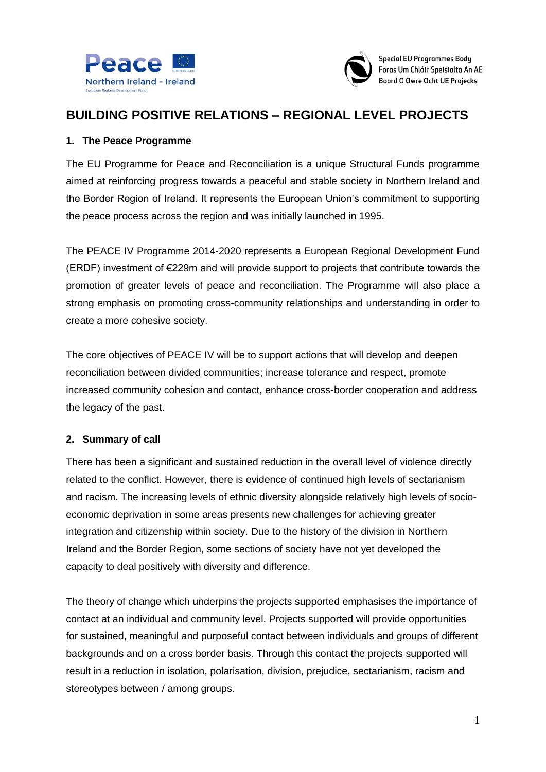



# **BUILDING POSITIVE RELATIONS – REGIONAL LEVEL PROJECTS**

### **1. The Peace Programme**

The EU Programme for Peace and Reconciliation is a unique Structural Funds programme aimed at reinforcing progress towards a peaceful and stable society in Northern Ireland and the Border Region of Ireland. It represents the European Union's commitment to supporting the peace process across the region and was initially launched in 1995.

The PEACE IV Programme 2014-2020 represents a European Regional Development Fund (ERDF) investment of €229m and will provide support to projects that contribute towards the promotion of greater levels of peace and reconciliation. The Programme will also place a strong emphasis on promoting cross-community relationships and understanding in order to create a more cohesive society.

The core objectives of PEACE IV will be to support actions that will develop and deepen reconciliation between divided communities; increase tolerance and respect, promote increased community cohesion and contact, enhance cross-border cooperation and address the legacy of the past.

### **2. Summary of call**

There has been a significant and sustained reduction in the overall level of violence directly related to the conflict. However, there is evidence of continued high levels of sectarianism and racism. The increasing levels of ethnic diversity alongside relatively high levels of socioeconomic deprivation in some areas presents new challenges for achieving greater integration and citizenship within society. Due to the history of the division in Northern Ireland and the Border Region, some sections of society have not yet developed the capacity to deal positively with diversity and difference.

The theory of change which underpins the projects supported emphasises the importance of contact at an individual and community level. Projects supported will provide opportunities for sustained, meaningful and purposeful contact between individuals and groups of different backgrounds and on a cross border basis. Through this contact the projects supported will result in a reduction in isolation, polarisation, division, prejudice, sectarianism, racism and stereotypes between / among groups.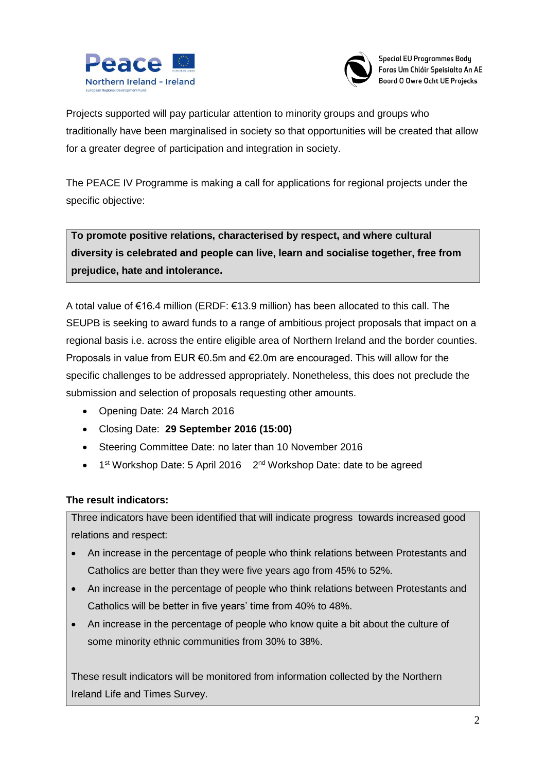



**Special EU Programmes Body** Foras Um Chláir Speisialta An AE Boord O Owre Ocht UE Projecks

Projects supported will pay particular attention to minority groups and groups who traditionally have been marginalised in society so that opportunities will be created that allow for a greater degree of participation and integration in society.

The PEACE IV Programme is making a call for applications for regional projects under the specific objective:

**To promote positive relations, characterised by respect, and where cultural diversity is celebrated and people can live, learn and socialise together, free from prejudice, hate and intolerance.** 

A total value of €16.4 million (ERDF: €13.9 million) has been allocated to this call. The SEUPB is seeking to award funds to a range of ambitious project proposals that impact on a regional basis i.e. across the entire eligible area of Northern Ireland and the border counties. Proposals in value from EUR €0.5m and €2.0m are encouraged. This will allow for the specific challenges to be addressed appropriately. Nonetheless, this does not preclude the submission and selection of proposals requesting other amounts.

- Opening Date: 24 March 2016
- Closing Date: **29 September 2016 (15:00)**
- Steering Committee Date: no later than 10 November 2016
- 1<sup>st</sup> Workshop Date: 5 April 2016 2<sup>nd</sup> Workshop Date: date to be agreed

### **The result indicators:**

Three indicators have been identified that will indicate progress towards increased good relations and respect:

- An increase in the percentage of people who think relations between Protestants and Catholics are better than they were five years ago from 45% to 52%.
- An increase in the percentage of people who think relations between Protestants and Catholics will be better in five years' time from 40% to 48%.
- An increase in the percentage of people who know quite a bit about the culture of some minority ethnic communities from 30% to 38%.

These result indicators will be monitored from information collected by the Northern Ireland Life and Times Survey.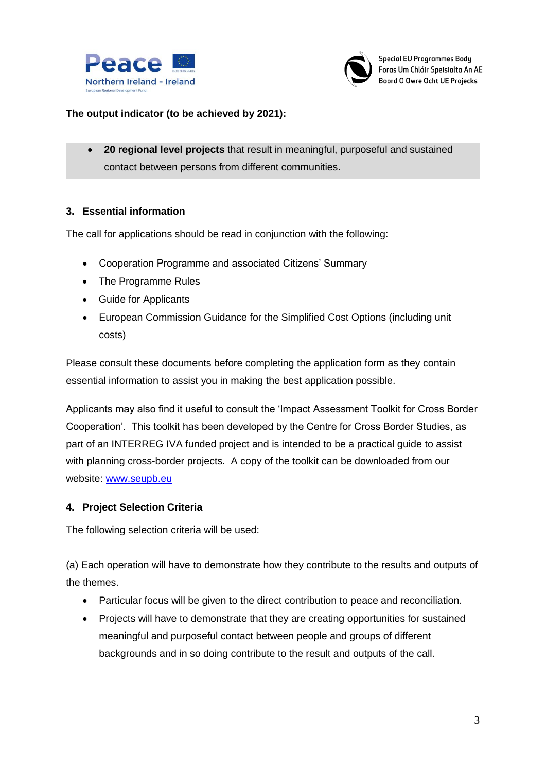



### **The output indicator (to be achieved by 2021):**

 **20 regional level projects** that result in meaningful, purposeful and sustained contact between persons from different communities.

### **3. Essential information**

The call for applications should be read in conjunction with the following:

- Cooperation Programme and associated Citizens' Summary
- The Programme Rules
- Guide for Applicants
- European Commission Guidance for the Simplified Cost Options (including unit costs)

Please consult these documents before completing the application form as they contain essential information to assist you in making the best application possible.

Applicants may also find it useful to consult the 'Impact Assessment Toolkit for Cross Border Cooperation'. This toolkit has been developed by the Centre for Cross Border Studies, as part of an INTERREG IVA funded project and is intended to be a practical guide to assist with planning cross-border projects. A copy of the toolkit can be downloaded from our website: [www.seupb.eu](http://www.seupb.eu/)

#### **4. Project Selection Criteria**

The following selection criteria will be used:

(a) Each operation will have to demonstrate how they contribute to the results and outputs of the themes.

- Particular focus will be given to the direct contribution to peace and reconciliation.
- Projects will have to demonstrate that they are creating opportunities for sustained meaningful and purposeful contact between people and groups of different backgrounds and in so doing contribute to the result and outputs of the call.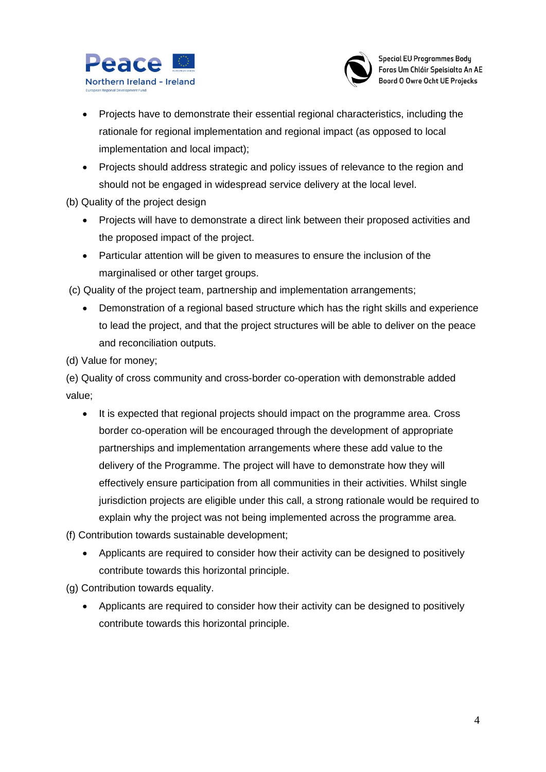



- Projects have to demonstrate their essential regional characteristics, including the rationale for regional implementation and regional impact (as opposed to local implementation and local impact);
- Projects should address strategic and policy issues of relevance to the region and should not be engaged in widespread service delivery at the local level.
- (b) Quality of the project design
	- Projects will have to demonstrate a direct link between their proposed activities and the proposed impact of the project.
	- Particular attention will be given to measures to ensure the inclusion of the marginalised or other target groups.
- (c) Quality of the project team, partnership and implementation arrangements;
	- Demonstration of a regional based structure which has the right skills and experience to lead the project, and that the project structures will be able to deliver on the peace and reconciliation outputs.
- (d) Value for money;

(e) Quality of cross community and cross-border co-operation with demonstrable added value;

• It is expected that regional projects should impact on the programme area. Cross border co-operation will be encouraged through the development of appropriate partnerships and implementation arrangements where these add value to the delivery of the Programme. The project will have to demonstrate how they will effectively ensure participation from all communities in their activities. Whilst single jurisdiction projects are eligible under this call, a strong rationale would be required to explain why the project was not being implemented across the programme area.

(f) Contribution towards sustainable development;

 Applicants are required to consider how their activity can be designed to positively contribute towards this horizontal principle.

(g) Contribution towards equality.

 Applicants are required to consider how their activity can be designed to positively contribute towards this horizontal principle.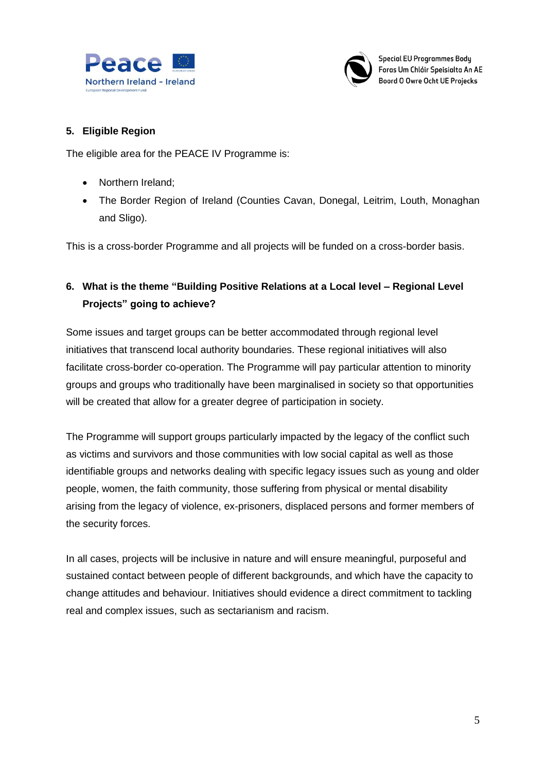



### **5. Eligible Region**

The eligible area for the PEACE IV Programme is:

- Northern Ireland;
- The Border Region of Ireland (Counties Cavan, Donegal, Leitrim, Louth, Monaghan and Sligo).

This is a cross-border Programme and all projects will be funded on a cross-border basis.

## **6. What is the theme "Building Positive Relations at a Local level – Regional Level Projects" going to achieve?**

Some issues and target groups can be better accommodated through regional level initiatives that transcend local authority boundaries. These regional initiatives will also facilitate cross-border co-operation. The Programme will pay particular attention to minority groups and groups who traditionally have been marginalised in society so that opportunities will be created that allow for a greater degree of participation in society.

The Programme will support groups particularly impacted by the legacy of the conflict such as victims and survivors and those communities with low social capital as well as those identifiable groups and networks dealing with specific legacy issues such as young and older people, women, the faith community, those suffering from physical or mental disability arising from the legacy of violence, ex-prisoners, displaced persons and former members of the security forces.

In all cases, projects will be inclusive in nature and will ensure meaningful, purposeful and sustained contact between people of different backgrounds, and which have the capacity to change attitudes and behaviour. Initiatives should evidence a direct commitment to tackling real and complex issues, such as sectarianism and racism.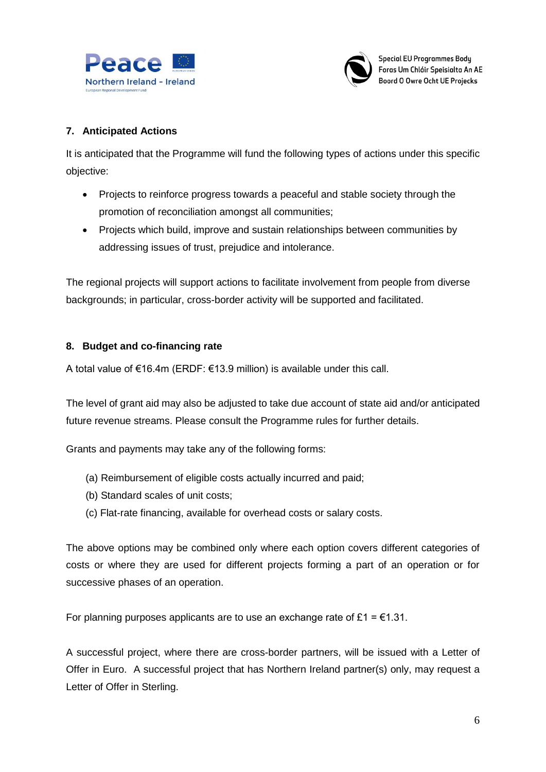



### **7. Anticipated Actions**

It is anticipated that the Programme will fund the following types of actions under this specific objective:

- Projects to reinforce progress towards a peaceful and stable society through the promotion of reconciliation amongst all communities;
- Projects which build, improve and sustain relationships between communities by addressing issues of trust, prejudice and intolerance.

The regional projects will support actions to facilitate involvement from people from diverse backgrounds; in particular, cross-border activity will be supported and facilitated.

### **8. Budget and co-financing rate**

A total value of €16.4m (ERDF: €13.9 million) is available under this call.

The level of grant aid may also be adjusted to take due account of state aid and/or anticipated future revenue streams. Please consult the Programme rules for further details.

Grants and payments may take any of the following forms:

- (a) Reimbursement of eligible costs actually incurred and paid;
- (b) Standard scales of unit costs;
- (c) Flat-rate financing, available for overhead costs or salary costs.

The above options may be combined only where each option covers different categories of costs or where they are used for different projects forming a part of an operation or for successive phases of an operation.

For planning purposes applicants are to use an exchange rate of £1 =  $\epsilon$ 1.31.

A successful project, where there are cross-border partners, will be issued with a Letter of Offer in Euro. A successful project that has Northern Ireland partner(s) only, may request a Letter of Offer in Sterling.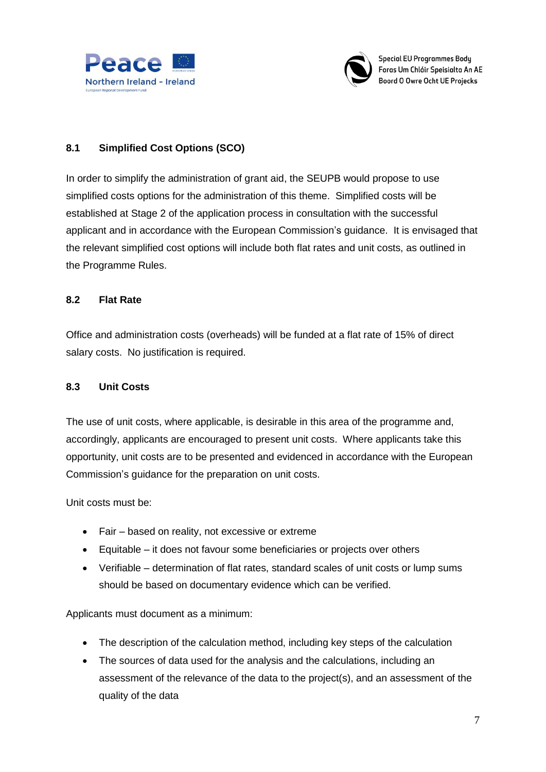



**Special EU Programmes Body** Foras Um Chláir Speisialta An AE Boord O Owre Ocht UE Projecks

### **8.1 Simplified Cost Options (SCO)**

In order to simplify the administration of grant aid, the SEUPB would propose to use simplified costs options for the administration of this theme. Simplified costs will be established at Stage 2 of the application process in consultation with the successful applicant and in accordance with the European Commission's guidance. It is envisaged that the relevant simplified cost options will include both flat rates and unit costs, as outlined in the Programme Rules.

### **8.2 Flat Rate**

Office and administration costs (overheads) will be funded at a flat rate of 15% of direct salary costs. No justification is required.

### **8.3 Unit Costs**

The use of unit costs, where applicable, is desirable in this area of the programme and, accordingly, applicants are encouraged to present unit costs. Where applicants take this opportunity, unit costs are to be presented and evidenced in accordance with the European Commission's guidance for the preparation on unit costs.

Unit costs must be:

- Fair based on reality, not excessive or extreme
- Equitable it does not favour some beneficiaries or projects over others
- Verifiable determination of flat rates, standard scales of unit costs or lump sums should be based on documentary evidence which can be verified.

Applicants must document as a minimum:

- The description of the calculation method, including key steps of the calculation
- The sources of data used for the analysis and the calculations, including an assessment of the relevance of the data to the project(s), and an assessment of the quality of the data